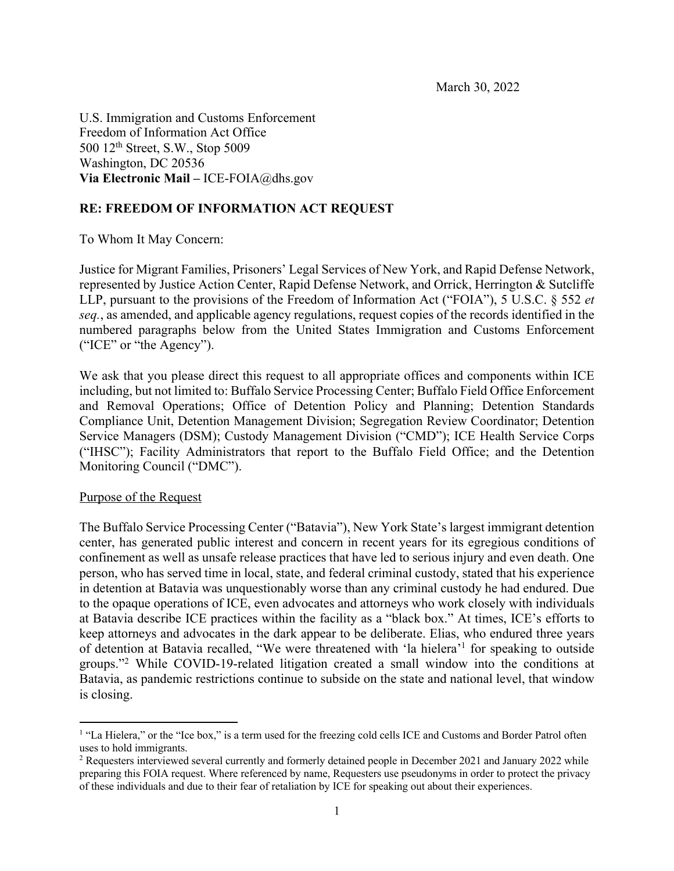U.S. Immigration and Customs Enforcement Freedom of Information Act Office 500 12th Street, S.W., Stop 5009 Washington, DC 20536 **Via Electronic Mail –** ICE-FOIA@dhs.gov

### **RE: FREEDOM OF INFORMATION ACT REQUEST**

To Whom It May Concern:

Justice for Migrant Families, Prisoners' Legal Services of New York, and Rapid Defense Network, represented by Justice Action Center, Rapid Defense Network, and Orrick, Herrington & Sutcliffe LLP, pursuant to the provisions of the Freedom of Information Act ("FOIA"), 5 U.S.C. § 552 *et seq.*, as amended, and applicable agency regulations, request copies of the records identified in the numbered paragraphs below from the United States Immigration and Customs Enforcement ("ICE" or "the Agency").

We ask that you please direct this request to all appropriate offices and components within ICE including, but not limited to: Buffalo Service Processing Center; Buffalo Field Office Enforcement and Removal Operations; Office of Detention Policy and Planning; Detention Standards Compliance Unit, Detention Management Division; Segregation Review Coordinator; Detention Service Managers (DSM); Custody Management Division ("CMD"); ICE Health Service Corps ("IHSC"); Facility Administrators that report to the Buffalo Field Office; and the Detention Monitoring Council ("DMC").

#### Purpose of the Request

The Buffalo Service Processing Center ("Batavia"), New York State's largest immigrant detention center, has generated public interest and concern in recent years for its egregious conditions of confinement as well as unsafe release practices that have led to serious injury and even death. One person, who has served time in local, state, and federal criminal custody, stated that his experience in detention at Batavia was unquestionably worse than any criminal custody he had endured. Due to the opaque operations of ICE, even advocates and attorneys who work closely with individuals at Batavia describe ICE practices within the facility as a "black box." At times, ICE's efforts to keep attorneys and advocates in the dark appear to be deliberate. Elias, who endured three years of detention at Batavia recalled, "We were threatened with 'la hielera'1 for speaking to outside groups."2 While COVID-19-related litigation created a small window into the conditions at Batavia, as pandemic restrictions continue to subside on the state and national level, that window is closing.

<sup>&</sup>lt;sup>1</sup> "La Hielera," or the "Ice box," is a term used for the freezing cold cells ICE and Customs and Border Patrol often uses to hold immigrants.

<sup>2</sup> Requesters interviewed several currently and formerly detained people in December 2021 and January 2022 while preparing this FOIA request. Where referenced by name, Requesters use pseudonyms in order to protect the privacy of these individuals and due to their fear of retaliation by ICE for speaking out about their experiences.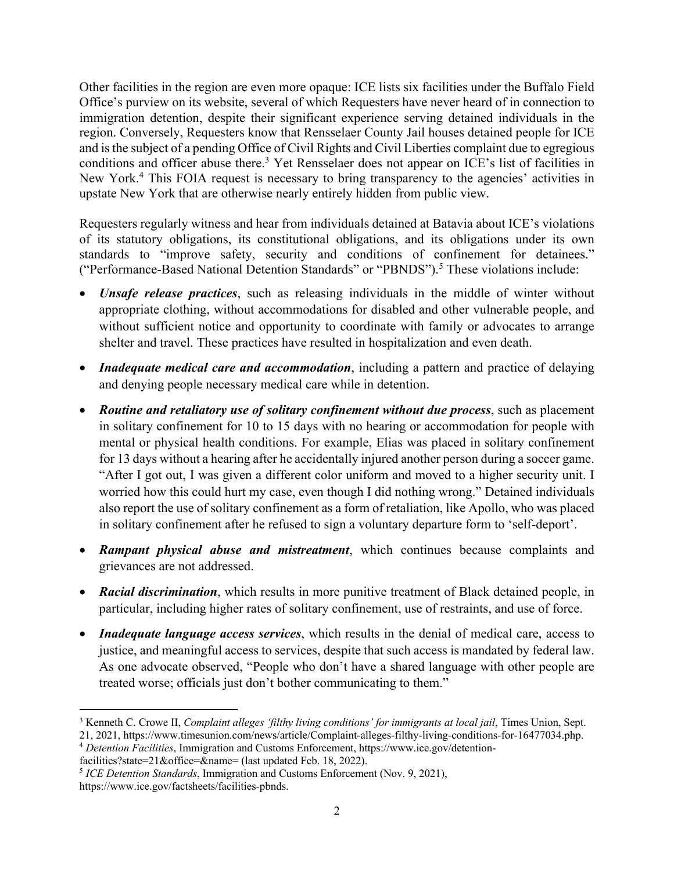Other facilities in the region are even more opaque: ICE lists six facilities under the Buffalo Field Office's purview on its website, several of which Requesters have never heard of in connection to immigration detention, despite their significant experience serving detained individuals in the region. Conversely, Requesters know that Rensselaer County Jail houses detained people for ICE and is the subject of a pending Office of Civil Rights and Civil Liberties complaint due to egregious conditions and officer abuse there. <sup>3</sup> Yet Rensselaer does not appear on ICE's list of facilities in New York.<sup>4</sup> This FOIA request is necessary to bring transparency to the agencies' activities in upstate New York that are otherwise nearly entirely hidden from public view.

Requesters regularly witness and hear from individuals detained at Batavia about ICE's violations of its statutory obligations, its constitutional obligations, and its obligations under its own standards to "improve safety, security and conditions of confinement for detainees." ("Performance-Based National Detention Standards" or "PBNDS"). <sup>5</sup> These violations include:

- *Unsafe release practices*, such as releasing individuals in the middle of winter without appropriate clothing, without accommodations for disabled and other vulnerable people, and without sufficient notice and opportunity to coordinate with family or advocates to arrange shelter and travel. These practices have resulted in hospitalization and even death.
- *Inadequate medical care and accommodation*, including a pattern and practice of delaying and denying people necessary medical care while in detention.
- *Routine and retaliatory use of solitary confinement without due process*, such as placement in solitary confinement for 10 to 15 days with no hearing or accommodation for people with mental or physical health conditions. For example, Elias was placed in solitary confinement for 13 days without a hearing after he accidentally injured another person during a soccer game. "After I got out, I was given a different color uniform and moved to a higher security unit. I worried how this could hurt my case, even though I did nothing wrong." Detained individuals also report the use of solitary confinement as a form of retaliation, like Apollo, who was placed in solitary confinement after he refused to sign a voluntary departure form to 'self-deport'.
- *Rampant physical abuse and mistreatment*, which continues because complaints and grievances are not addressed.
- *Racial discrimination*, which results in more punitive treatment of Black detained people, in particular, including higher rates of solitary confinement, use of restraints, and use of force.
- *Inadequate language access services*, which results in the denial of medical care, access to justice, and meaningful access to services, despite that such access is mandated by federal law. As one advocate observed, "People who don't have a shared language with other people are treated worse; officials just don't bother communicating to them."

<sup>4</sup> *Detention Facilities*, Immigration and Customs Enforcement, https://www.ice.gov/detention-

facilities?state=21&office=&name= (last updated Feb. 18, 2022).

<sup>3</sup> Kenneth C. Crowe II, *Complaint alleges 'filthy living conditions' for immigrants at local jail*, Times Union, Sept. 21, 2021, https://www.timesunion.com/news/article/Complaint-alleges-filthy-living-conditions-for-16477034.php.

<sup>5</sup> *ICE Detention Standards*, Immigration and Customs Enforcement (Nov. 9, 2021), https://www.ice.gov/factsheets/facilities-pbnds.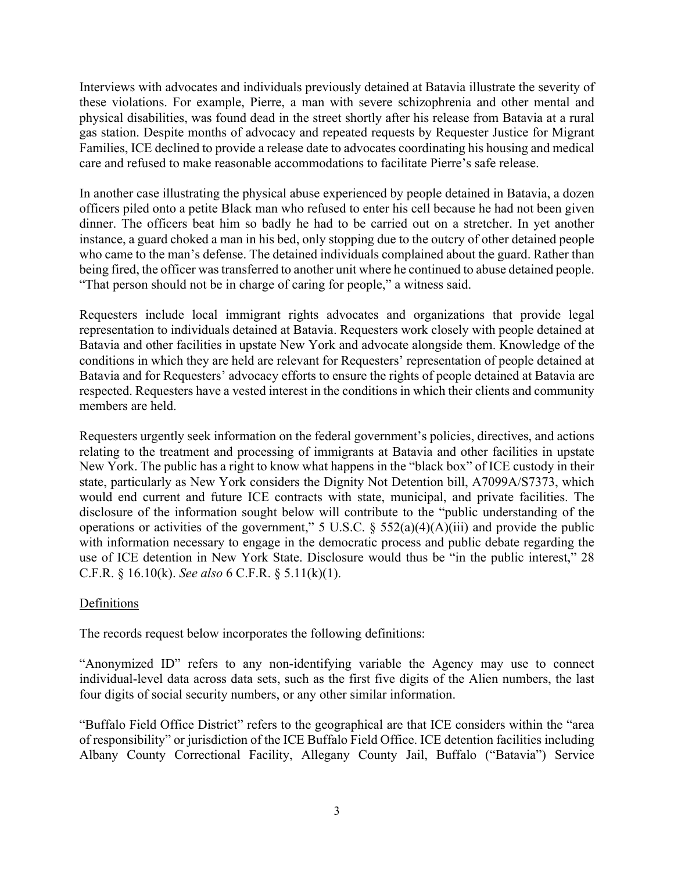Interviews with advocates and individuals previously detained at Batavia illustrate the severity of these violations. For example, Pierre, a man with severe schizophrenia and other mental and physical disabilities, was found dead in the street shortly after his release from Batavia at a rural gas station. Despite months of advocacy and repeated requests by Requester Justice for Migrant Families, ICE declined to provide a release date to advocates coordinating his housing and medical care and refused to make reasonable accommodations to facilitate Pierre's safe release.

In another case illustrating the physical abuse experienced by people detained in Batavia, a dozen officers piled onto a petite Black man who refused to enter his cell because he had not been given dinner. The officers beat him so badly he had to be carried out on a stretcher. In yet another instance, a guard choked a man in his bed, only stopping due to the outcry of other detained people who came to the man's defense. The detained individuals complained about the guard. Rather than being fired, the officer was transferred to another unit where he continued to abuse detained people. "That person should not be in charge of caring for people," a witness said.

Requesters include local immigrant rights advocates and organizations that provide legal representation to individuals detained at Batavia. Requesters work closely with people detained at Batavia and other facilities in upstate New York and advocate alongside them. Knowledge of the conditions in which they are held are relevant for Requesters' representation of people detained at Batavia and for Requesters' advocacy efforts to ensure the rights of people detained at Batavia are respected. Requesters have a vested interest in the conditions in which their clients and community members are held.

Requesters urgently seek information on the federal government's policies, directives, and actions relating to the treatment and processing of immigrants at Batavia and other facilities in upstate New York. The public has a right to know what happens in the "black box" of ICE custody in their state, particularly as New York considers the Dignity Not Detention bill, A7099A/S7373, which would end current and future ICE contracts with state, municipal, and private facilities. The disclosure of the information sought below will contribute to the "public understanding of the operations or activities of the government," 5 U.S.C.  $\S$  552(a)(4)(A)(iii) and provide the public with information necessary to engage in the democratic process and public debate regarding the use of ICE detention in New York State. Disclosure would thus be "in the public interest," 28 C.F.R. § 16.10(k). *See also* 6 C.F.R. § 5.11(k)(1).

# Definitions

The records request below incorporates the following definitions:

"Anonymized ID" refers to any non-identifying variable the Agency may use to connect individual-level data across data sets, such as the first five digits of the Alien numbers, the last four digits of social security numbers, or any other similar information.

"Buffalo Field Office District" refers to the geographical are that ICE considers within the "area of responsibility" or jurisdiction of the ICE Buffalo Field Office. ICE detention facilities including Albany County Correctional Facility, Allegany County Jail, Buffalo ("Batavia") Service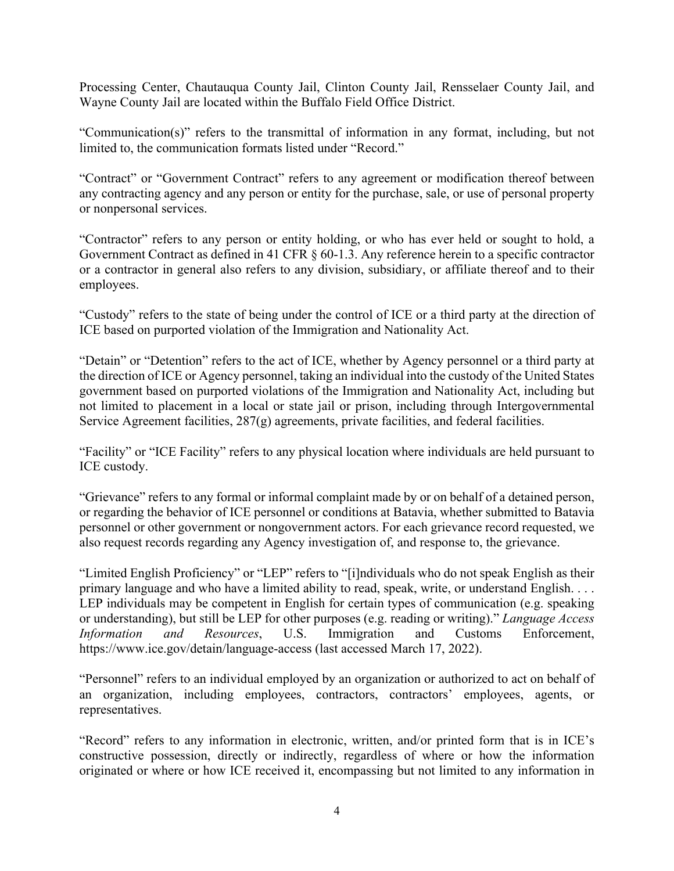Processing Center, Chautauqua County Jail, Clinton County Jail, Rensselaer County Jail, and Wayne County Jail are located within the Buffalo Field Office District.

"Communication(s)" refers to the transmittal of information in any format, including, but not limited to, the communication formats listed under "Record."

"Contract" or "Government Contract" refers to any agreement or modification thereof between any contracting agency and any person or entity for the purchase, sale, or use of personal property or nonpersonal services.

"Contractor" refers to any person or entity holding, or who has ever held or sought to hold, a Government Contract as defined in 41 CFR § 60-1.3. Any reference herein to a specific contractor or a contractor in general also refers to any division, subsidiary, or affiliate thereof and to their employees.

"Custody" refers to the state of being under the control of ICE or a third party at the direction of ICE based on purported violation of the Immigration and Nationality Act.

"Detain" or "Detention" refers to the act of ICE, whether by Agency personnel or a third party at the direction of ICE or Agency personnel, taking an individual into the custody of the United States government based on purported violations of the Immigration and Nationality Act, including but not limited to placement in a local or state jail or prison, including through Intergovernmental Service Agreement facilities, 287(g) agreements, private facilities, and federal facilities.

"Facility" or "ICE Facility" refers to any physical location where individuals are held pursuant to ICE custody.

"Grievance" refers to any formal or informal complaint made by or on behalf of a detained person, or regarding the behavior of ICE personnel or conditions at Batavia, whether submitted to Batavia personnel or other government or nongovernment actors. For each grievance record requested, we also request records regarding any Agency investigation of, and response to, the grievance.

"Limited English Proficiency" or "LEP" refers to "[i]ndividuals who do not speak English as their primary language and who have a limited ability to read, speak, write, or understand English. . . . LEP individuals may be competent in English for certain types of communication (e.g. speaking or understanding), but still be LEP for other purposes (e.g. reading or writing)." *Language Access Information and Resources*, U.S. Immigration and Customs Enforcement, https://www.ice.gov/detain/language-access (last accessed March 17, 2022).

"Personnel" refers to an individual employed by an organization or authorized to act on behalf of an organization, including employees, contractors, contractors' employees, agents, or representatives.

"Record" refers to any information in electronic, written, and/or printed form that is in ICE's constructive possession, directly or indirectly, regardless of where or how the information originated or where or how ICE received it, encompassing but not limited to any information in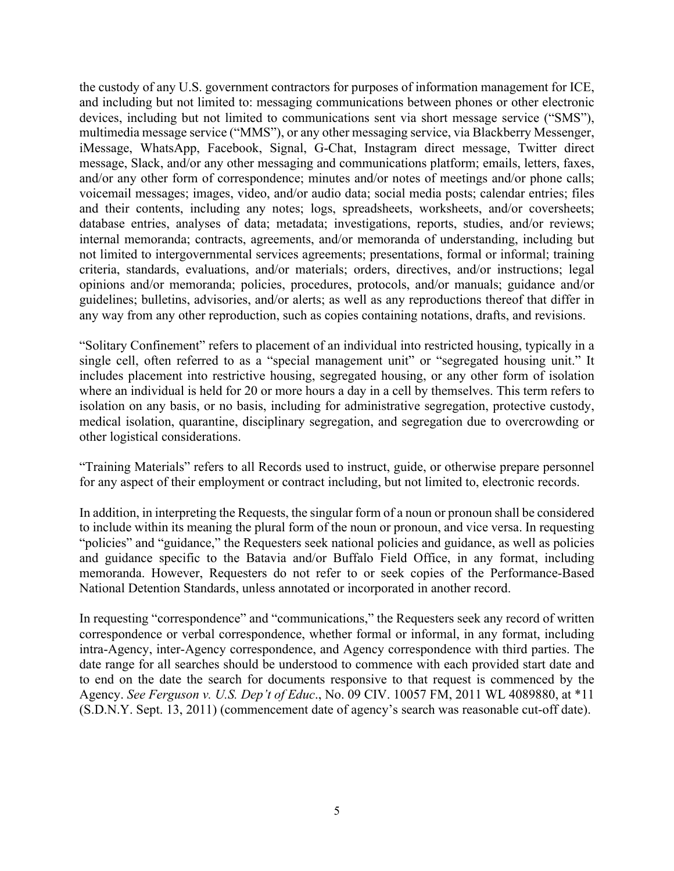the custody of any U.S. government contractors for purposes of information management for ICE, and including but not limited to: messaging communications between phones or other electronic devices, including but not limited to communications sent via short message service ("SMS"), multimedia message service ("MMS"), or any other messaging service, via Blackberry Messenger, iMessage, WhatsApp, Facebook, Signal, G-Chat, Instagram direct message, Twitter direct message, Slack, and/or any other messaging and communications platform; emails, letters, faxes, and/or any other form of correspondence; minutes and/or notes of meetings and/or phone calls; voicemail messages; images, video, and/or audio data; social media posts; calendar entries; files and their contents, including any notes; logs, spreadsheets, worksheets, and/or coversheets; database entries, analyses of data; metadata; investigations, reports, studies, and/or reviews; internal memoranda; contracts, agreements, and/or memoranda of understanding, including but not limited to intergovernmental services agreements; presentations, formal or informal; training criteria, standards, evaluations, and/or materials; orders, directives, and/or instructions; legal opinions and/or memoranda; policies, procedures, protocols, and/or manuals; guidance and/or guidelines; bulletins, advisories, and/or alerts; as well as any reproductions thereof that differ in any way from any other reproduction, such as copies containing notations, drafts, and revisions.

"Solitary Confinement" refers to placement of an individual into restricted housing, typically in a single cell, often referred to as a "special management unit" or "segregated housing unit." It includes placement into restrictive housing, segregated housing, or any other form of isolation where an individual is held for 20 or more hours a day in a cell by themselves. This term refers to isolation on any basis, or no basis, including for administrative segregation, protective custody, medical isolation, quarantine, disciplinary segregation, and segregation due to overcrowding or other logistical considerations.

"Training Materials" refers to all Records used to instruct, guide, or otherwise prepare personnel for any aspect of their employment or contract including, but not limited to, electronic records.

In addition, in interpreting the Requests, the singular form of a noun or pronoun shall be considered to include within its meaning the plural form of the noun or pronoun, and vice versa. In requesting "policies" and "guidance," the Requesters seek national policies and guidance, as well as policies and guidance specific to the Batavia and/or Buffalo Field Office, in any format, including memoranda. However, Requesters do not refer to or seek copies of the Performance-Based National Detention Standards, unless annotated or incorporated in another record.

In requesting "correspondence" and "communications," the Requesters seek any record of written correspondence or verbal correspondence, whether formal or informal, in any format, including intra-Agency, inter-Agency correspondence, and Agency correspondence with third parties. The date range for all searches should be understood to commence with each provided start date and to end on the date the search for documents responsive to that request is commenced by the Agency. *See Ferguson v. U.S. Dep't of Educ*., No. 09 CIV. 10057 FM, 2011 WL 4089880, at \*11 (S.D.N.Y. Sept. 13, 2011) (commencement date of agency's search was reasonable cut-off date).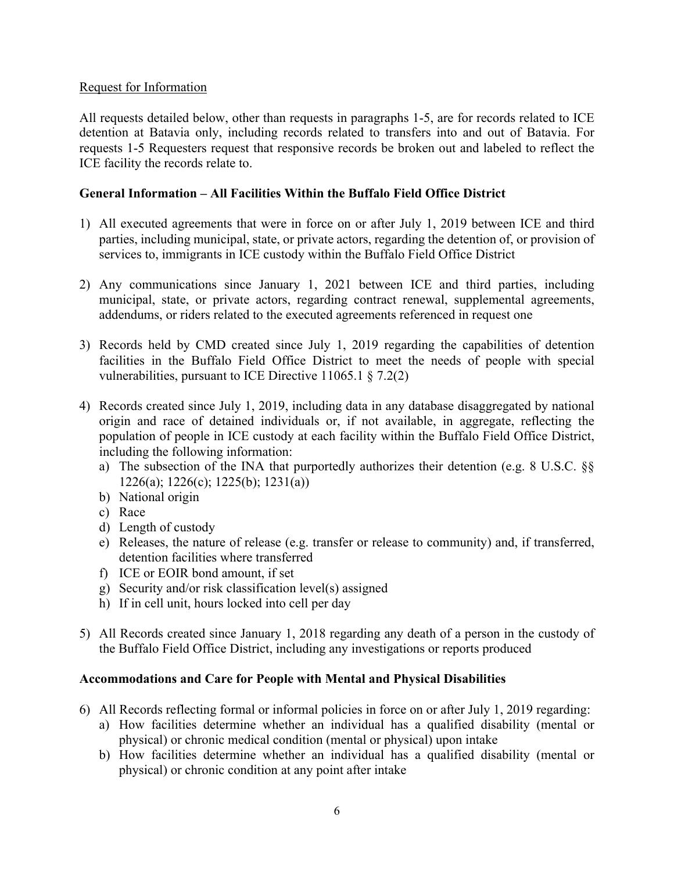### Request for Information

All requests detailed below, other than requests in paragraphs 1-5, are for records related to ICE detention at Batavia only, including records related to transfers into and out of Batavia. For requests 1-5 Requesters request that responsive records be broken out and labeled to reflect the ICE facility the records relate to.

## **General Information – All Facilities Within the Buffalo Field Office District**

- 1) All executed agreements that were in force on or after July 1, 2019 between ICE and third parties, including municipal, state, or private actors, regarding the detention of, or provision of services to, immigrants in ICE custody within the Buffalo Field Office District
- 2) Any communications since January 1, 2021 between ICE and third parties, including municipal, state, or private actors, regarding contract renewal, supplemental agreements, addendums, or riders related to the executed agreements referenced in request one
- 3) Records held by CMD created since July 1, 2019 regarding the capabilities of detention facilities in the Buffalo Field Office District to meet the needs of people with special vulnerabilities, pursuant to ICE Directive 11065.1 § 7.2(2)
- 4) Records created since July 1, 2019, including data in any database disaggregated by national origin and race of detained individuals or, if not available, in aggregate, reflecting the population of people in ICE custody at each facility within the Buffalo Field Office District, including the following information:
	- a) The subsection of the INA that purportedly authorizes their detention (e.g. 8 U.S.C. §§ 1226(a); 1226(c); 1225(b); 1231(a))
	- b) National origin
	- c) Race
	- d) Length of custody
	- e) Releases, the nature of release (e.g. transfer or release to community) and, if transferred, detention facilities where transferred
	- f) ICE or EOIR bond amount, if set
	- g) Security and/or risk classification level(s) assigned
	- h) If in cell unit, hours locked into cell per day
- 5) All Records created since January 1, 2018 regarding any death of a person in the custody of the Buffalo Field Office District, including any investigations or reports produced

# **Accommodations and Care for People with Mental and Physical Disabilities**

- 6) All Records reflecting formal or informal policies in force on or after July 1, 2019 regarding:
	- a) How facilities determine whether an individual has a qualified disability (mental or physical) or chronic medical condition (mental or physical) upon intake
	- b) How facilities determine whether an individual has a qualified disability (mental or physical) or chronic condition at any point after intake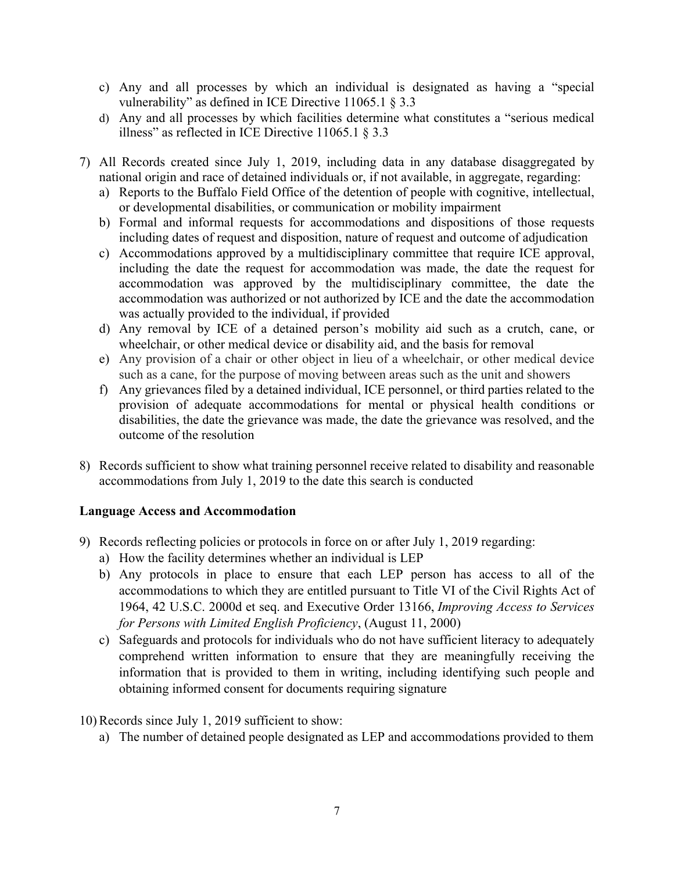- c) Any and all processes by which an individual is designated as having a "special vulnerability" as defined in ICE Directive 11065.1 § 3.3
- d) Any and all processes by which facilities determine what constitutes a "serious medical illness" as reflected in ICE Directive 11065.1 § 3.3
- 7) All Records created since July 1, 2019, including data in any database disaggregated by national origin and race of detained individuals or, if not available, in aggregate, regarding:
	- a) Reports to the Buffalo Field Office of the detention of people with cognitive, intellectual, or developmental disabilities, or communication or mobility impairment
	- b) Formal and informal requests for accommodations and dispositions of those requests including dates of request and disposition, nature of request and outcome of adjudication
	- c) Accommodations approved by a multidisciplinary committee that require ICE approval, including the date the request for accommodation was made, the date the request for accommodation was approved by the multidisciplinary committee, the date the accommodation was authorized or not authorized by ICE and the date the accommodation was actually provided to the individual, if provided
	- d) Any removal by ICE of a detained person's mobility aid such as a crutch, cane, or wheelchair, or other medical device or disability aid, and the basis for removal
	- e) Any provision of a chair or other object in lieu of a wheelchair, or other medical device such as a cane, for the purpose of moving between areas such as the unit and showers
	- f) Any grievances filed by a detained individual, ICE personnel, or third parties related to the provision of adequate accommodations for mental or physical health conditions or disabilities, the date the grievance was made, the date the grievance was resolved, and the outcome of the resolution
- 8) Records sufficient to show what training personnel receive related to disability and reasonable accommodations from July 1, 2019 to the date this search is conducted

# **Language Access and Accommodation**

- 9) Records reflecting policies or protocols in force on or after July 1, 2019 regarding:
	- a) How the facility determines whether an individual is LEP
	- b) Any protocols in place to ensure that each LEP person has access to all of the accommodations to which they are entitled pursuant to Title VI of the Civil Rights Act of 1964, 42 U.S.C. 2000d et seq. and Executive Order 13166, *Improving Access to Services for Persons with Limited English Proficiency*, (August 11, 2000)
	- c) Safeguards and protocols for individuals who do not have sufficient literacy to adequately comprehend written information to ensure that they are meaningfully receiving the information that is provided to them in writing, including identifying such people and obtaining informed consent for documents requiring signature

# 10) Records since July 1, 2019 sufficient to show:

a) The number of detained people designated as LEP and accommodations provided to them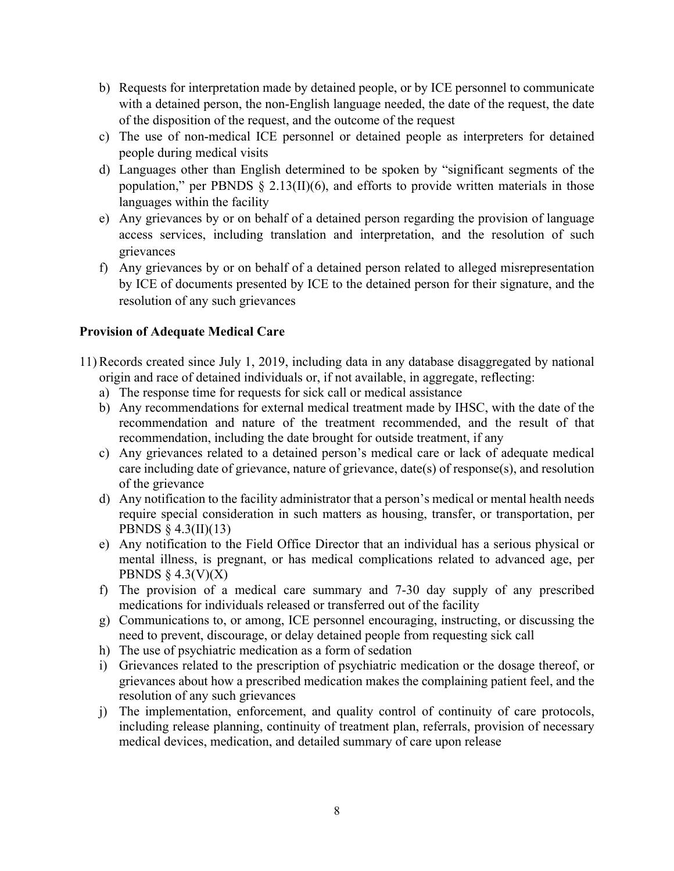- b) Requests for interpretation made by detained people, or by ICE personnel to communicate with a detained person, the non-English language needed, the date of the request, the date of the disposition of the request, and the outcome of the request
- c) The use of non-medical ICE personnel or detained people as interpreters for detained people during medical visits
- d) Languages other than English determined to be spoken by "significant segments of the population," per PBNDS  $\S$  2.13(II)(6), and efforts to provide written materials in those languages within the facility
- e) Any grievances by or on behalf of a detained person regarding the provision of language access services, including translation and interpretation, and the resolution of such grievances
- f) Any grievances by or on behalf of a detained person related to alleged misrepresentation by ICE of documents presented by ICE to the detained person for their signature, and the resolution of any such grievances

# **Provision of Adequate Medical Care**

- 11) Records created since July 1, 2019, including data in any database disaggregated by national origin and race of detained individuals or, if not available, in aggregate, reflecting:
	- a) The response time for requests for sick call or medical assistance
	- b) Any recommendations for external medical treatment made by IHSC, with the date of the recommendation and nature of the treatment recommended, and the result of that recommendation, including the date brought for outside treatment, if any
	- c) Any grievances related to a detained person's medical care or lack of adequate medical care including date of grievance, nature of grievance, date(s) of response(s), and resolution of the grievance
	- d) Any notification to the facility administrator that a person's medical or mental health needs require special consideration in such matters as housing, transfer, or transportation, per PBNDS § 4.3(II)(13)
	- e) Any notification to the Field Office Director that an individual has a serious physical or mental illness, is pregnant, or has medical complications related to advanced age, per PBNDS  $\S$  4.3(V)(X)
	- f) The provision of a medical care summary and 7-30 day supply of any prescribed medications for individuals released or transferred out of the facility
	- g) Communications to, or among, ICE personnel encouraging, instructing, or discussing the need to prevent, discourage, or delay detained people from requesting sick call
	- h) The use of psychiatric medication as a form of sedation
	- i) Grievances related to the prescription of psychiatric medication or the dosage thereof, or grievances about how a prescribed medication makes the complaining patient feel, and the resolution of any such grievances
	- j) The implementation, enforcement, and quality control of continuity of care protocols, including release planning, continuity of treatment plan, referrals, provision of necessary medical devices, medication, and detailed summary of care upon release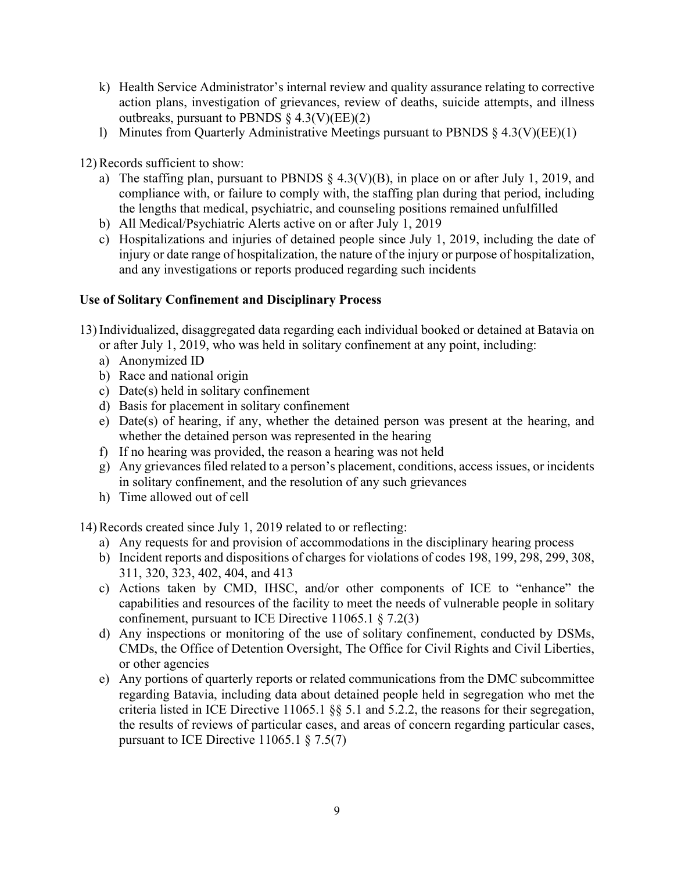- k) Health Service Administrator's internal review and quality assurance relating to corrective action plans, investigation of grievances, review of deaths, suicide attempts, and illness outbreaks, pursuant to PBNDS  $\S$  4.3(V)(EE)(2)
- l) Minutes from Quarterly Administrative Meetings pursuant to PBNDS § 4.3(V)(EE)(1)

12) Records sufficient to show:

- a) The staffing plan, pursuant to PBNDS  $\S$  4.3(V)(B), in place on or after July 1, 2019, and compliance with, or failure to comply with, the staffing plan during that period, including the lengths that medical, psychiatric, and counseling positions remained unfulfilled
- b) All Medical/Psychiatric Alerts active on or after July 1, 2019
- c) Hospitalizations and injuries of detained people since July 1, 2019, including the date of injury or date range of hospitalization, the nature of the injury or purpose of hospitalization, and any investigations or reports produced regarding such incidents

### **Use of Solitary Confinement and Disciplinary Process**

- 13) Individualized, disaggregated data regarding each individual booked or detained at Batavia on or after July 1, 2019, who was held in solitary confinement at any point, including:
	- a) Anonymized ID
	- b) Race and national origin
	- c) Date(s) held in solitary confinement
	- d) Basis for placement in solitary confinement
	- e) Date(s) of hearing, if any, whether the detained person was present at the hearing, and whether the detained person was represented in the hearing
	- f) If no hearing was provided, the reason a hearing was not held
	- g) Any grievances filed related to a person's placement, conditions, access issues, or incidents in solitary confinement, and the resolution of any such grievances
	- h) Time allowed out of cell

14) Records created since July 1, 2019 related to or reflecting:

- a) Any requests for and provision of accommodations in the disciplinary hearing process
- b) Incident reports and dispositions of charges for violations of codes 198, 199, 298, 299, 308, 311, 320, 323, 402, 404, and 413
- c) Actions taken by CMD, IHSC, and/or other components of ICE to "enhance" the capabilities and resources of the facility to meet the needs of vulnerable people in solitary confinement, pursuant to ICE Directive  $11065.1 \text{ § } 7.2(3)$
- d) Any inspections or monitoring of the use of solitary confinement, conducted by DSMs, CMDs, the Office of Detention Oversight, The Office for Civil Rights and Civil Liberties, or other agencies
- e) Any portions of quarterly reports or related communications from the DMC subcommittee regarding Batavia, including data about detained people held in segregation who met the criteria listed in ICE Directive 11065.1 §§ 5.1 and 5.2.2, the reasons for their segregation, the results of reviews of particular cases, and areas of concern regarding particular cases, pursuant to ICE Directive  $11065.1 \text{ § } 7.5(7)$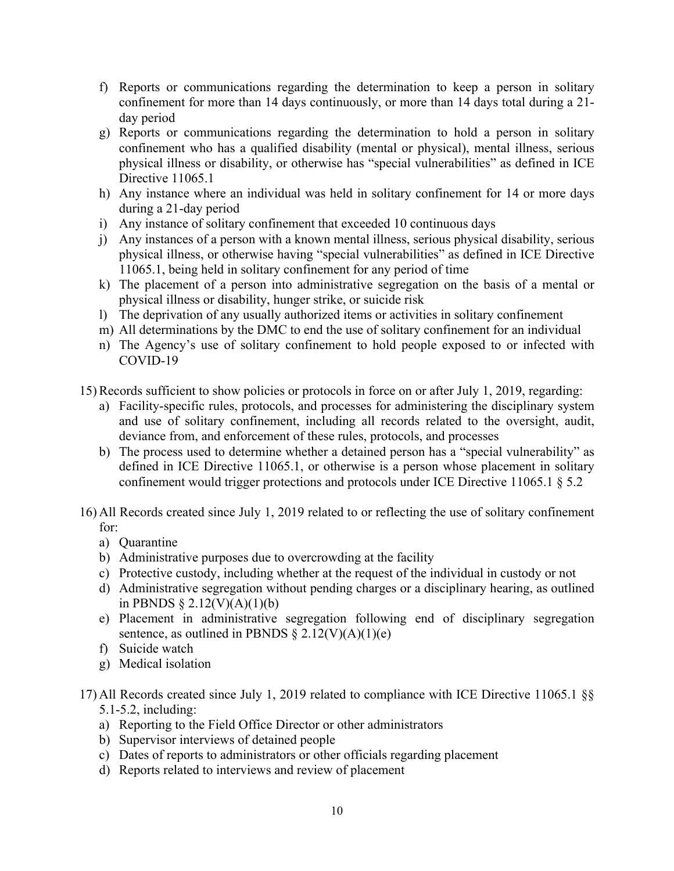- f) Reports or communications regarding the determination to keep a person in solitary confinement for more than 14 days continuously, or more than 14 days total during a 21 day period
- g) Reports or communications regarding the determination to hold a person in solitary confinement who has a qualified disability (mental or physical), mental illness, serious physical illness or disability, or otherwise has "special vulnerabilities" as defined in ICE Directive 11065.1
- h) Any instance where an individual was held in solitary confinement for 14 or more days during a 21-day period
- i) Any instance of solitary confinement that exceeded 10 continuous days
- j) Any instances of a person with a known mental illness, serious physical disability, serious physical illness, or otherwise having "special vulnerabilities" as defined in ICE Directive 11065.1, being held in solitary confinement for any period of time
- k) The placement of a person into administrative segregation on the basis of a mental or physical illness or disability, hunger strike, or suicide risk
- l) The deprivation of any usually authorized items or activities in solitary confinement
- m) All determinations by the DMC to end the use of solitary confinement for an individual
- n) The Agency's use of solitary confinement to hold people exposed to or infected with COVID-19
- 15) Records sufficient to show policies or protocols in force on or after July 1, 2019, regarding:
	- a) Facility-specific rules, protocols, and processes for administering the disciplinary system and use of solitary confinement, including all records related to the oversight, audit, deviance from, and enforcement of these rules, protocols, and processes
	- b) The process used to determine whether a detained person has a "special vulnerability" as defined in ICE Directive 11065.1, or otherwise is a person whose placement in solitary confinement would trigger protections and protocols under ICE Directive 11065.1 § 5.2

16) All Records created since July 1, 2019 related to or reflecting the use of solitary confinement for:

- a) Quarantine
- b) Administrative purposes due to overcrowding at the facility
- c) Protective custody, including whether at the request of the individual in custody or not
- d) Administrative segregation without pending charges or a disciplinary hearing, as outlined in PBNDS  $\S 2.12(V)(A)(1)(b)$
- e) Placement in administrative segregation following end of disciplinary segregation sentence, as outlined in PBNDS  $\S 2.12(V)(A)(1)(e)$
- f) Suicide watch
- g) Medical isolation

### 17) All Records created since July 1, 2019 related to compliance with ICE Directive 11065.1 §§ 5.1-5.2, including:

- a) Reporting to the Field Office Director or other administrators
- b) Supervisor interviews of detained people
- c) Dates of reports to administrators or other officials regarding placement
- d) Reports related to interviews and review of placement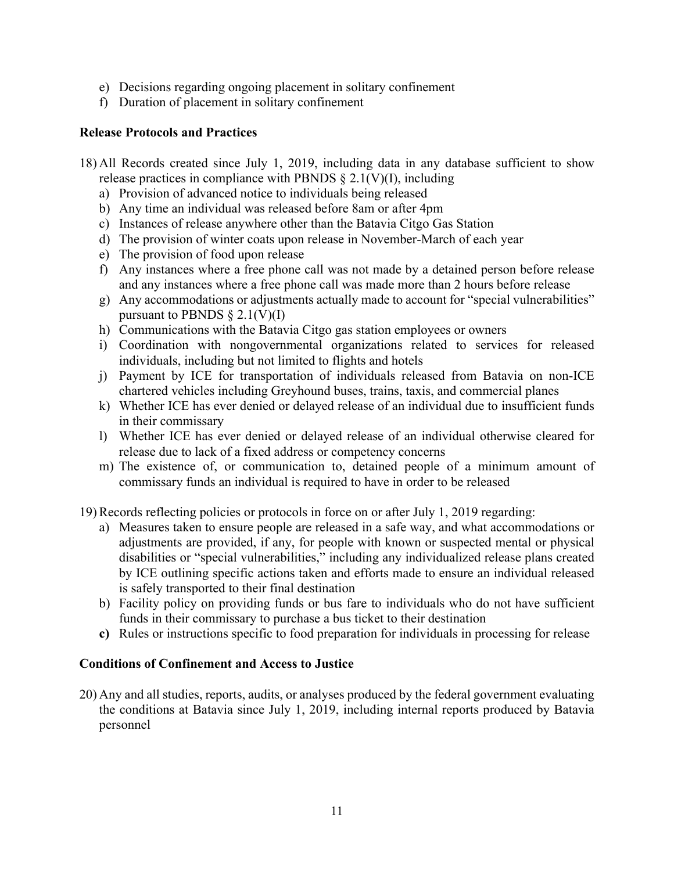- e) Decisions regarding ongoing placement in solitary confinement
- f) Duration of placement in solitary confinement

### **Release Protocols and Practices**

- 18) All Records created since July 1, 2019, including data in any database sufficient to show release practices in compliance with PBNDS  $\S 2.1(V)(I)$ , including
	- a) Provision of advanced notice to individuals being released
	- b) Any time an individual was released before 8am or after 4pm
	- c) Instances of release anywhere other than the Batavia Citgo Gas Station
	- d) The provision of winter coats upon release in November-March of each year
	- e) The provision of food upon release
	- f) Any instances where a free phone call was not made by a detained person before release and any instances where a free phone call was made more than 2 hours before release
	- g) Any accommodations or adjustments actually made to account for "special vulnerabilities" pursuant to PBNDS  $\S 2.1(V)(I)$
	- h) Communications with the Batavia Citgo gas station employees or owners
	- i) Coordination with nongovernmental organizations related to services for released individuals, including but not limited to flights and hotels
	- j) Payment by ICE for transportation of individuals released from Batavia on non-ICE chartered vehicles including Greyhound buses, trains, taxis, and commercial planes
	- k) Whether ICE has ever denied or delayed release of an individual due to insufficient funds in their commissary
	- l) Whether ICE has ever denied or delayed release of an individual otherwise cleared for release due to lack of a fixed address or competency concerns
	- m) The existence of, or communication to, detained people of a minimum amount of commissary funds an individual is required to have in order to be released

19) Records reflecting policies or protocols in force on or after July 1, 2019 regarding:

- a) Measures taken to ensure people are released in a safe way, and what accommodations or adjustments are provided, if any, for people with known or suspected mental or physical disabilities or "special vulnerabilities," including any individualized release plans created by ICE outlining specific actions taken and efforts made to ensure an individual released is safely transported to their final destination
- b) Facility policy on providing funds or bus fare to individuals who do not have sufficient funds in their commissary to purchase a bus ticket to their destination
- **c)** Rules or instructions specific to food preparation for individuals in processing for release

#### **Conditions of Confinement and Access to Justice**

20) Any and all studies, reports, audits, or analyses produced by the federal government evaluating the conditions at Batavia since July 1, 2019, including internal reports produced by Batavia personnel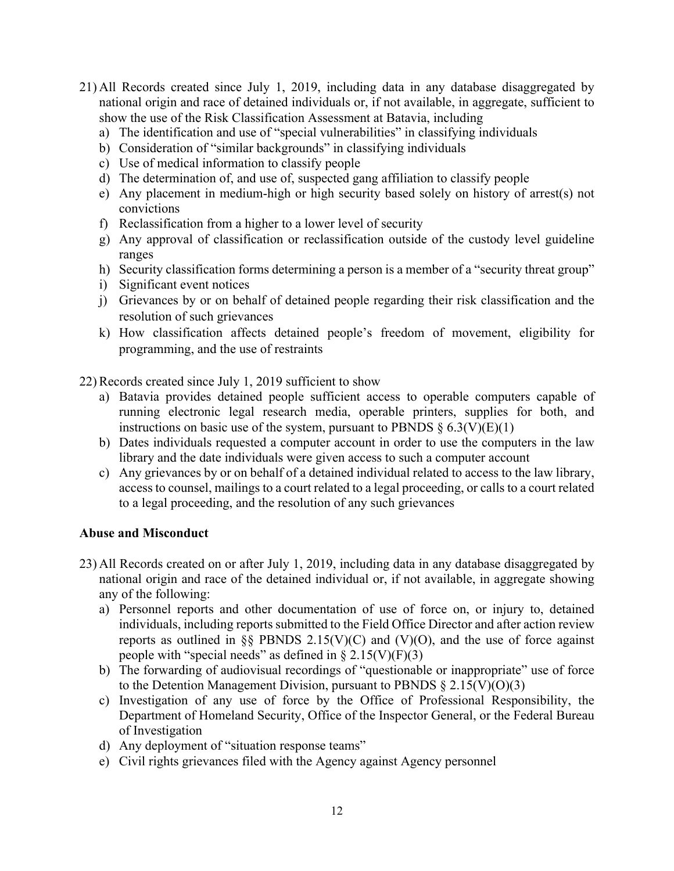- 21) All Records created since July 1, 2019, including data in any database disaggregated by national origin and race of detained individuals or, if not available, in aggregate, sufficient to show the use of the Risk Classification Assessment at Batavia, including
	- a) The identification and use of "special vulnerabilities" in classifying individuals
	- b) Consideration of "similar backgrounds" in classifying individuals
	- c) Use of medical information to classify people
	- d) The determination of, and use of, suspected gang affiliation to classify people
	- e) Any placement in medium-high or high security based solely on history of arrest(s) not convictions
	- f) Reclassification from a higher to a lower level of security
	- g) Any approval of classification or reclassification outside of the custody level guideline ranges
	- h) Security classification forms determining a person is a member of a "security threat group"
	- i) Significant event notices
	- j) Grievances by or on behalf of detained people regarding their risk classification and the resolution of such grievances
	- k) How classification affects detained people's freedom of movement, eligibility for programming, and the use of restraints

22) Records created since July 1, 2019 sufficient to show

- a) Batavia provides detained people sufficient access to operable computers capable of running electronic legal research media, operable printers, supplies for both, and instructions on basic use of the system, pursuant to PBNDS  $\S 6.3(V)(E)(1)$
- b) Dates individuals requested a computer account in order to use the computers in the law library and the date individuals were given access to such a computer account
- c) Any grievances by or on behalf of a detained individual related to access to the law library, access to counsel, mailings to a court related to a legal proceeding, or calls to a court related to a legal proceeding, and the resolution of any such grievances

#### **Abuse and Misconduct**

- 23) All Records created on or after July 1, 2019, including data in any database disaggregated by national origin and race of the detained individual or, if not available, in aggregate showing any of the following:
	- a) Personnel reports and other documentation of use of force on, or injury to, detained individuals, including reports submitted to the Field Office Director and after action review reports as outlined in §§ PBNDS 2.15(V)(C) and (V)(O), and the use of force against people with "special needs" as defined in  $\S 2.15(V)(F)(3)$
	- b) The forwarding of audiovisual recordings of "questionable or inappropriate" use of force to the Detention Management Division, pursuant to PBNDS  $\S 2.15(V)(O)(3)$
	- c) Investigation of any use of force by the Office of Professional Responsibility, the Department of Homeland Security, Office of the Inspector General, or the Federal Bureau of Investigation
	- d) Any deployment of "situation response teams"
	- e) Civil rights grievances filed with the Agency against Agency personnel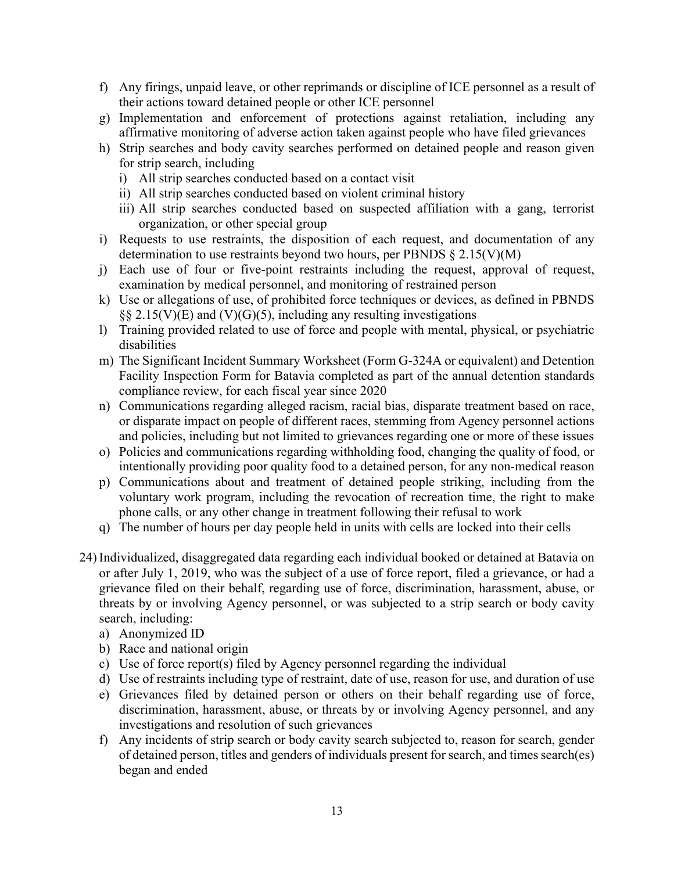- f) Any firings, unpaid leave, or other reprimands or discipline of ICE personnel as a result of their actions toward detained people or other ICE personnel
- g) Implementation and enforcement of protections against retaliation, including any affirmative monitoring of adverse action taken against people who have filed grievances
- h) Strip searches and body cavity searches performed on detained people and reason given for strip search, including
	- i) All strip searches conducted based on a contact visit
	- ii) All strip searches conducted based on violent criminal history
	- iii) All strip searches conducted based on suspected affiliation with a gang, terrorist organization, or other special group
- i) Requests to use restraints, the disposition of each request, and documentation of any determination to use restraints beyond two hours, per PBNDS § 2.15(V)(M)
- j) Each use of four or five-point restraints including the request, approval of request, examination by medical personnel, and monitoring of restrained person
- k) Use or allegations of use, of prohibited force techniques or devices, as defined in PBNDS  $\S$ § 2.15(V)(E) and (V)(G)(5), including any resulting investigations
- l) Training provided related to use of force and people with mental, physical, or psychiatric disabilities
- m) The Significant Incident Summary Worksheet (Form G-324A or equivalent) and Detention Facility Inspection Form for Batavia completed as part of the annual detention standards compliance review, for each fiscal year since 2020
- n) Communications regarding alleged racism, racial bias, disparate treatment based on race, or disparate impact on people of different races, stemming from Agency personnel actions and policies, including but not limited to grievances regarding one or more of these issues
- o) Policies and communications regarding withholding food, changing the quality of food, or intentionally providing poor quality food to a detained person, for any non-medical reason
- p) Communications about and treatment of detained people striking, including from the voluntary work program, including the revocation of recreation time, the right to make phone calls, or any other change in treatment following their refusal to work
- q) The number of hours per day people held in units with cells are locked into their cells
- 24) Individualized, disaggregated data regarding each individual booked or detained at Batavia on or after July 1, 2019, who was the subject of a use of force report, filed a grievance, or had a grievance filed on their behalf, regarding use of force, discrimination, harassment, abuse, or threats by or involving Agency personnel, or was subjected to a strip search or body cavity search, including:
	- a) Anonymized ID
	- b) Race and national origin
	- c) Use of force report(s) filed by Agency personnel regarding the individual
	- d) Use of restraints including type of restraint, date of use, reason for use, and duration of use
	- e) Grievances filed by detained person or others on their behalf regarding use of force, discrimination, harassment, abuse, or threats by or involving Agency personnel, and any investigations and resolution of such grievances
	- f) Any incidents of strip search or body cavity search subjected to, reason for search, gender of detained person, titles and genders of individuals present for search, and times search(es) began and ended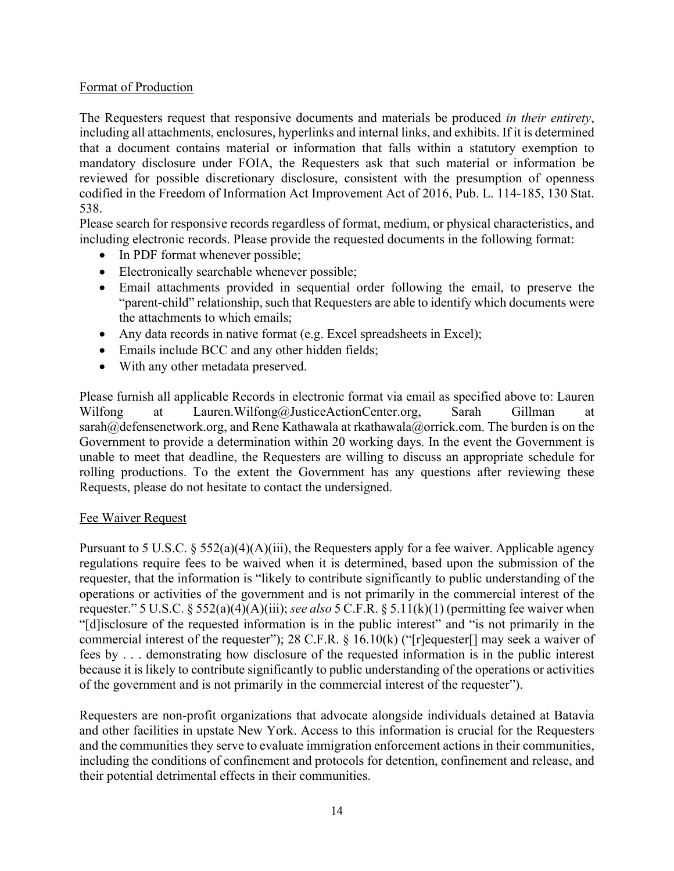## Format of Production

The Requesters request that responsive documents and materials be produced *in their entirety*, including all attachments, enclosures, hyperlinks and internal links, and exhibits. If it is determined that a document contains material or information that falls within a statutory exemption to mandatory disclosure under FOIA, the Requesters ask that such material or information be reviewed for possible discretionary disclosure, consistent with the presumption of openness codified in the Freedom of Information Act Improvement Act of 2016, Pub. L. 114-185, 130 Stat. 538.

Please search for responsive records regardless of format, medium, or physical characteristics, and including electronic records. Please provide the requested documents in the following format:

- In PDF format whenever possible;
- Electronically searchable whenever possible;
- Email attachments provided in sequential order following the email, to preserve the "parent-child" relationship, such that Requesters are able to identify which documents were the attachments to which emails;
- Any data records in native format (e.g. Excel spreadsheets in Excel);
- Emails include BCC and any other hidden fields;
- With any other metadata preserved.

Please furnish all applicable Records in electronic format via email as specified above to: Lauren Wilfong at Lauren.Wilfong@JusticeActionCenter.org, Sarah Gillman at sarah@defensenetwork.org, and Rene Kathawala at rkathawala@orrick.com. The burden is on the Government to provide a determination within 20 working days. In the event the Government is unable to meet that deadline, the Requesters are willing to discuss an appropriate schedule for rolling productions. To the extent the Government has any questions after reviewing these Requests, please do not hesitate to contact the undersigned.

#### Fee Waiver Request

Pursuant to 5 U.S.C.  $\S 552(a)(4)(A)(iii)$ , the Requesters apply for a fee waiver. Applicable agency regulations require fees to be waived when it is determined, based upon the submission of the requester, that the information is "likely to contribute significantly to public understanding of the operations or activities of the government and is not primarily in the commercial interest of the requester." 5 U.S.C. § 552(a)(4)(A)(iii); *see also* 5 C.F.R. § 5.11(k)(1) (permitting fee waiver when "[d]isclosure of the requested information is in the public interest" and "is not primarily in the commercial interest of the requester"); 28 C.F.R. § 16.10(k) ("[r]equester[] may seek a waiver of fees by . . . demonstrating how disclosure of the requested information is in the public interest because it is likely to contribute significantly to public understanding of the operations or activities of the government and is not primarily in the commercial interest of the requester").

Requesters are non-profit organizations that advocate alongside individuals detained at Batavia and other facilities in upstate New York. Access to this information is crucial for the Requesters and the communities they serve to evaluate immigration enforcement actions in their communities, including the conditions of confinement and protocols for detention, confinement and release, and their potential detrimental effects in their communities.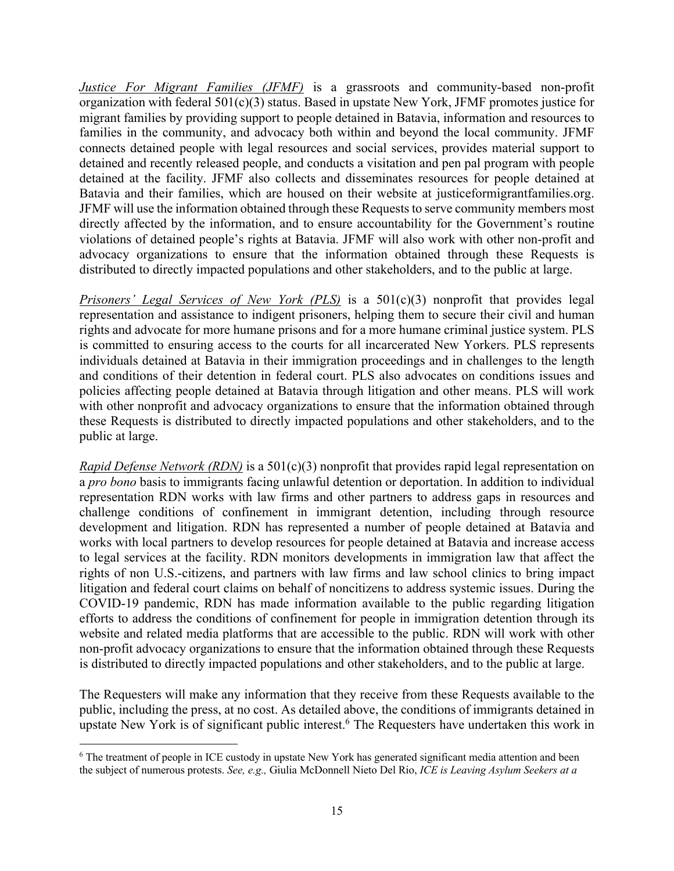*Justice For Migrant Families (JFMF)* is a grassroots and community-based non-profit organization with federal 501(c)(3) status. Based in upstate New York, JFMF promotes justice for migrant families by providing support to people detained in Batavia, information and resources to families in the community, and advocacy both within and beyond the local community. JFMF connects detained people with legal resources and social services, provides material support to detained and recently released people, and conducts a visitation and pen pal program with people detained at the facility. JFMF also collects and disseminates resources for people detained at Batavia and their families, which are housed on their website at justiceformigrantfamilies.org. JFMF will use the information obtained through these Requests to serve community members most directly affected by the information, and to ensure accountability for the Government's routine violations of detained people's rights at Batavia. JFMF will also work with other non-profit and advocacy organizations to ensure that the information obtained through these Requests is distributed to directly impacted populations and other stakeholders, and to the public at large.

*Prisoners' Legal Services of New York (PLS)* is a 501(c)(3) nonprofit that provides legal representation and assistance to indigent prisoners, helping them to secure their civil and human rights and advocate for more humane prisons and for a more humane criminal justice system. PLS is committed to ensuring access to the courts for all incarcerated New Yorkers. PLS represents individuals detained at Batavia in their immigration proceedings and in challenges to the length and conditions of their detention in federal court. PLS also advocates on conditions issues and policies affecting people detained at Batavia through litigation and other means. PLS will work with other nonprofit and advocacy organizations to ensure that the information obtained through these Requests is distributed to directly impacted populations and other stakeholders, and to the public at large.

*Rapid Defense Network (RDN)* is a 501(c)(3) nonprofit that provides rapid legal representation on a *pro bono* basis to immigrants facing unlawful detention or deportation. In addition to individual representation RDN works with law firms and other partners to address gaps in resources and challenge conditions of confinement in immigrant detention, including through resource development and litigation. RDN has represented a number of people detained at Batavia and works with local partners to develop resources for people detained at Batavia and increase access to legal services at the facility. RDN monitors developments in immigration law that affect the rights of non U.S.-citizens, and partners with law firms and law school clinics to bring impact litigation and federal court claims on behalf of noncitizens to address systemic issues. During the COVID-19 pandemic, RDN has made information available to the public regarding litigation efforts to address the conditions of confinement for people in immigration detention through its website and related media platforms that are accessible to the public. RDN will work with other non-profit advocacy organizations to ensure that the information obtained through these Requests is distributed to directly impacted populations and other stakeholders, and to the public at large.

The Requesters will make any information that they receive from these Requests available to the public, including the press, at no cost. As detailed above, the conditions of immigrants detained in upstate New York is of significant public interest.<sup>6</sup> The Requesters have undertaken this work in

<sup>&</sup>lt;sup>6</sup> The treatment of people in ICE custody in upstate New York has generated significant media attention and been the subject of numerous protests. *See, e.g.,* Giulia McDonnell Nieto Del Rio, *ICE is Leaving Asylum Seekers at a*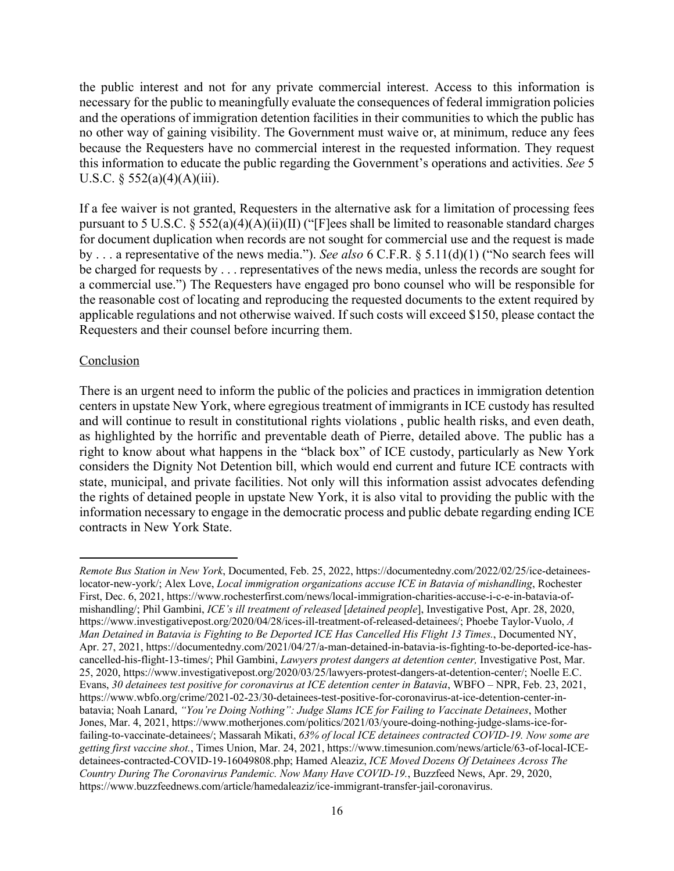the public interest and not for any private commercial interest. Access to this information is necessary for the public to meaningfully evaluate the consequences of federal immigration policies and the operations of immigration detention facilities in their communities to which the public has no other way of gaining visibility. The Government must waive or, at minimum, reduce any fees because the Requesters have no commercial interest in the requested information. They request this information to educate the public regarding the Government's operations and activities. *See* 5 U.S.C.  $\S$  552(a)(4)(A)(iii).

If a fee waiver is not granted, Requesters in the alternative ask for a limitation of processing fees pursuant to 5 U.S.C.  $\tilde{\S}$  552(a)(4)(A)(ii)(II) ("[F]ees shall be limited to reasonable standard charges for document duplication when records are not sought for commercial use and the request is made by . . . a representative of the news media."). *See also* 6 C.F.R. § 5.11(d)(1) ("No search fees will be charged for requests by . . . representatives of the news media, unless the records are sought for a commercial use.") The Requesters have engaged pro bono counsel who will be responsible for the reasonable cost of locating and reproducing the requested documents to the extent required by applicable regulations and not otherwise waived. If such costs will exceed \$150, please contact the Requesters and their counsel before incurring them.

#### **Conclusion**

There is an urgent need to inform the public of the policies and practices in immigration detention centers in upstate New York, where egregious treatment of immigrants in ICE custody has resulted and will continue to result in constitutional rights violations , public health risks, and even death, as highlighted by the horrific and preventable death of Pierre, detailed above. The public has a right to know about what happens in the "black box" of ICE custody, particularly as New York considers the Dignity Not Detention bill, which would end current and future ICE contracts with state, municipal, and private facilities. Not only will this information assist advocates defending the rights of detained people in upstate New York, it is also vital to providing the public with the information necessary to engage in the democratic process and public debate regarding ending ICE contracts in New York State.

*Remote Bus Station in New York*, Documented, Feb. 25, 2022, https://documentedny.com/2022/02/25/ice-detaineeslocator-new-york/; Alex Love, *Local immigration organizations accuse ICE in Batavia of mishandling*, Rochester First, Dec. 6, 2021, https://www.rochesterfirst.com/news/local-immigration-charities-accuse-i-c-e-in-batavia-ofmishandling/; Phil Gambini, *ICE's ill treatment of released* [*detained people*], Investigative Post, Apr. 28, 2020, https://www.investigativepost.org/2020/04/28/ices-ill-treatment-of-released-detainees/; Phoebe Taylor-Vuolo, *A Man Detained in Batavia is Fighting to Be Deported ICE Has Cancelled His Flight 13 Times.*, Documented NY, Apr. 27, 2021, https://documentedny.com/2021/04/27/a-man-detained-in-batavia-is-fighting-to-be-deported-ice-hascancelled-his-flight-13-times/; Phil Gambini, *Lawyers protest dangers at detention center,* Investigative Post, Mar. 25, 2020, https://www.investigativepost.org/2020/03/25/lawyers-protest-dangers-at-detention-center/; Noelle E.C. Evans, *30 detainees test positive for coronavirus at ICE detention center in Batavia*, WBFO – NPR, Feb. 23, 2021, https://www.wbfo.org/crime/2021-02-23/30-detainees-test-positive-for-coronavirus-at-ice-detention-center-inbatavia; Noah Lanard, *"You're Doing Nothing": Judge Slams ICE for Failing to Vaccinate Detainees*, Mother Jones, Mar. 4, 2021, https://www.motherjones.com/politics/2021/03/youre-doing-nothing-judge-slams-ice-forfailing-to-vaccinate-detainees/; Massarah Mikati, *63% of local ICE detainees contracted COVID-19. Now some are getting first vaccine shot.*, Times Union, Mar. 24, 2021, https://www.timesunion.com/news/article/63-of-local-ICEdetainees-contracted-COVID-19-16049808.php; Hamed Aleaziz, *ICE Moved Dozens Of Detainees Across The Country During The Coronavirus Pandemic. Now Many Have COVID-19.*, Buzzfeed News, Apr. 29, 2020, https://www.buzzfeednews.com/article/hamedaleaziz/ice-immigrant-transfer-jail-coronavirus.